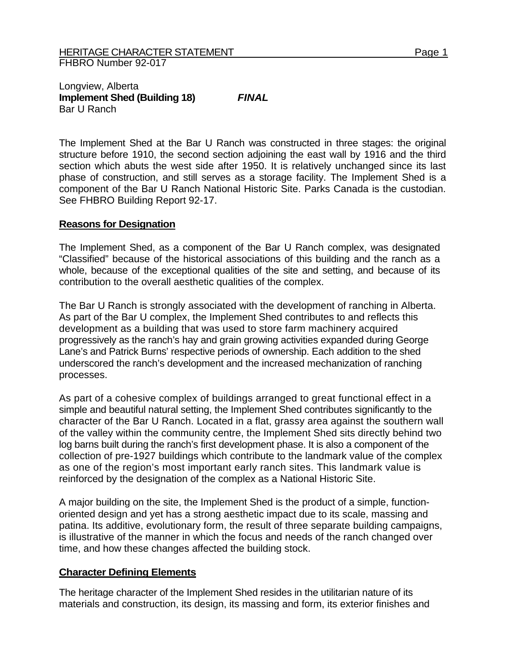## Longview, Alberta **Implement Shed (Building 18)** *FINAL*  Bar U Ranch

The Implement Shed at the Bar U Ranch was constructed in three stages: the original structure before 1910, the second section adjoining the east wall by 1916 and the third section which abuts the west side after 1950. It is relatively unchanged since its last phase of construction, and still serves as a storage facility. The Implement Shed is a component of the Bar U Ranch National Historic Site. Parks Canada is the custodian. See FHBRO Building Report 92-17.

## **Reasons for Designation**

The Implement Shed, as a component of the Bar U Ranch complex, was designated "Classified" because of the historical associations of this building and the ranch as a whole, because of the exceptional qualities of the site and setting, and because of its contribution to the overall aesthetic qualities of the complex.

The Bar U Ranch is strongly associated with the development of ranching in Alberta. As part of the Bar U complex, the Implement Shed contributes to and reflects this development as a building that was used to store farm machinery acquired progressively as the ranch's hay and grain growing activities expanded during George Lane's and Patrick Burns' respective periods of ownership. Each addition to the shed underscored the ranch's development and the increased mechanization of ranching processes.

As part of a cohesive complex of buildings arranged to great functional effect in a simple and beautiful natural setting, the Implement Shed contributes significantly to the character of the Bar U Ranch. Located in a flat, grassy area against the southern wall of the valley within the community centre, the Implement Shed sits directly behind two log barns built during the ranch's first development phase. It is also a component of the collection of pre-1927 buildings which contribute to the landmark value of the complex as one of the region's most important early ranch sites. This landmark value is reinforced by the designation of the complex as a National Historic Site.

A major building on the site, the Implement Shed is the product of a simple, functionoriented design and yet has a strong aesthetic impact due to its scale, massing and patina. Its additive, evolutionary form, the result of three separate building campaigns, is illustrative of the manner in which the focus and needs of the ranch changed over time, and how these changes affected the building stock.

## **Character Defining Elements**

The heritage character of the Implement Shed resides in the utilitarian nature of its materials and construction, its design, its massing and form, its exterior finishes and